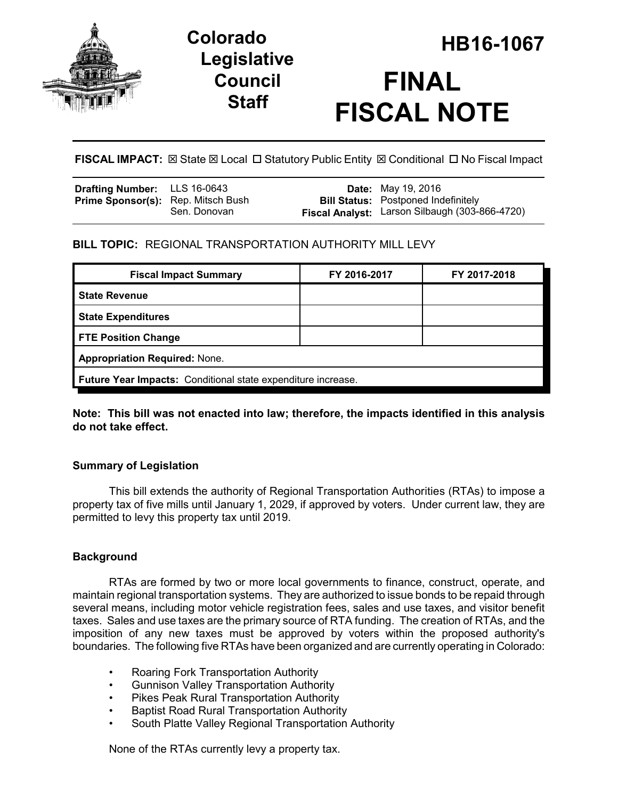

# **Legislative Council Staff**



**FISCAL IMPACT:** ⊠ State ⊠ Local □ Statutory Public Entity ⊠ Conditional □ No Fiscal Impact

| <b>Drafting Number:</b> LLS 16-0643       |              | <b>Date:</b> May 19, 2016                                                                    |
|-------------------------------------------|--------------|----------------------------------------------------------------------------------------------|
| <b>Prime Sponsor(s):</b> Rep. Mitsch Bush | Sen. Donovan | <b>Bill Status:</b> Postponed Indefinitely<br>Fiscal Analyst: Larson Silbaugh (303-866-4720) |

## **BILL TOPIC:** REGIONAL TRANSPORTATION AUTHORITY MILL LEVY

| <b>Fiscal Impact Summary</b>                                        | FY 2016-2017 | FY 2017-2018 |  |  |  |
|---------------------------------------------------------------------|--------------|--------------|--|--|--|
| <b>State Revenue</b>                                                |              |              |  |  |  |
| <b>State Expenditures</b>                                           |              |              |  |  |  |
| <b>FTE Position Change</b>                                          |              |              |  |  |  |
| <b>Appropriation Required: None.</b>                                |              |              |  |  |  |
| <b>Future Year Impacts:</b> Conditional state expenditure increase. |              |              |  |  |  |

**Note: This bill was not enacted into law; therefore, the impacts identified in this analysis do not take effect.**

# **Summary of Legislation**

This bill extends the authority of Regional Transportation Authorities (RTAs) to impose a property tax of five mills until January 1, 2029, if approved by voters. Under current law, they are permitted to levy this property tax until 2019.

## **Background**

RTAs are formed by two or more local governments to finance, construct, operate, and maintain regional transportation systems. They are authorized to issue bonds to be repaid through several means, including motor vehicle registration fees, sales and use taxes, and visitor benefit taxes. Sales and use taxes are the primary source of RTA funding. The creation of RTAs, and the imposition of any new taxes must be approved by voters within the proposed authority's boundaries. The following five RTAs have been organized and are currently operating in Colorado:

- Roaring Fork Transportation Authority
- Gunnison Valley Transportation Authority
- Pikes Peak Rural Transportation Authority
- Baptist Road Rural Transportation Authority
- South Platte Valley Regional Transportation Authority

None of the RTAs currently levy a property tax.